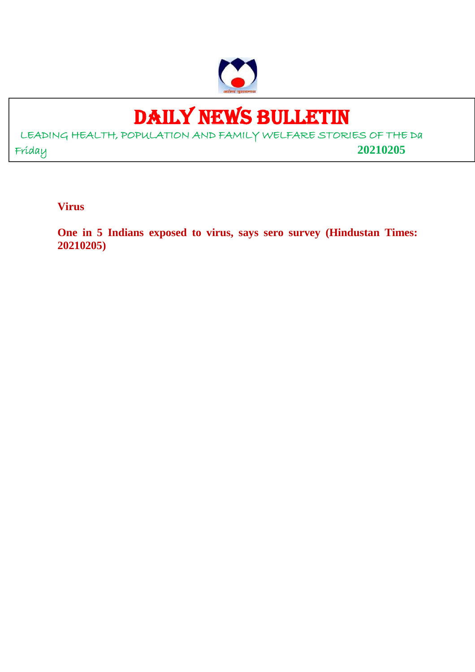

# DAILY NEWS BULLETIN

LEADING HEALTH, POPULATION AND FAMILY WELFARE STORIES OF THE Da Friday **20210205**

**Virus**

**One in 5 Indians exposed to virus, says sero survey (Hindustan Times: 20210205)**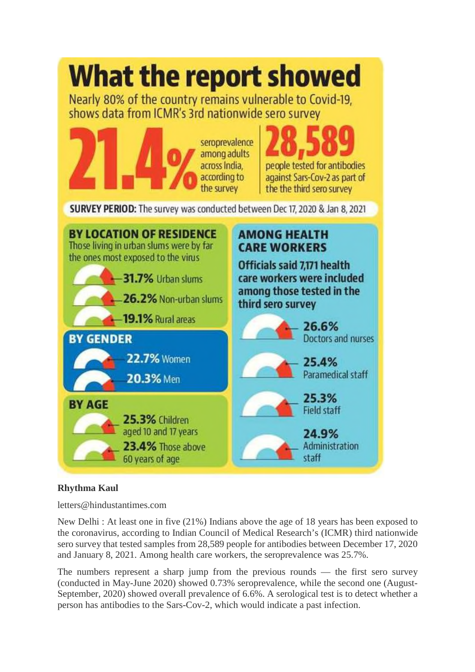

# **Rhythma Kaul**

letters@hindustantimes.com

New Delhi : At least one in five (21%) Indians above the age of 18 years has been exposed to the coronavirus, according to Indian Council of Medical Research's (ICMR) third nationwide sero survey that tested samples from 28,589 people for antibodies between December 17, 2020 and January 8, 2021. Among health care workers, the seroprevalence was 25.7%.

The numbers represent a sharp jump from the previous rounds — the first sero survey (conducted in May-June 2020) showed 0.73% seroprevalence, while the second one (August-September, 2020) showed overall prevalence of 6.6%. A serological test is to detect whether a person has antibodies to the Sars-Cov-2, which would indicate a past infection.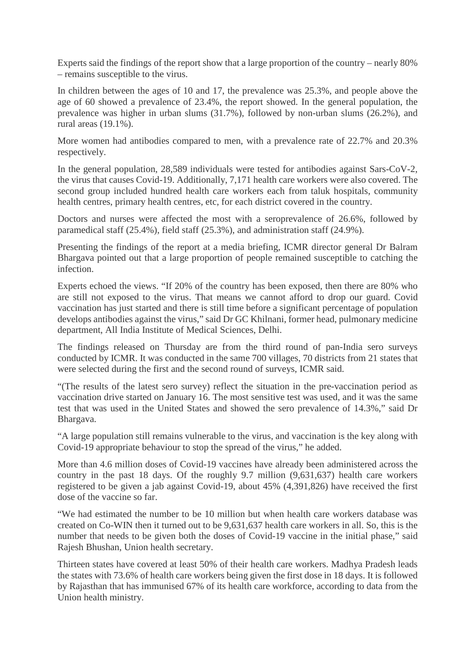Experts said the findings of the report show that a large proportion of the country – nearly 80% – remains susceptible to the virus.

In children between the ages of 10 and 17, the prevalence was 25.3%, and people above the age of 60 showed a prevalence of 23.4%, the report showed. In the general population, the prevalence was higher in urban slums (31.7%), followed by non-urban slums (26.2%), and rural areas (19.1%).

More women had antibodies compared to men, with a prevalence rate of 22.7% and 20.3% respectively.

In the general population, 28,589 individuals were tested for antibodies against Sars-CoV-2, the virus that causes Covid-19. Additionally, 7,171 health care workers were also covered. The second group included hundred health care workers each from taluk hospitals, community health centres, primary health centres, etc, for each district covered in the country.

Doctors and nurses were affected the most with a seroprevalence of 26.6%, followed by paramedical staff (25.4%), field staff (25.3%), and administration staff (24.9%).

Presenting the findings of the report at a media briefing, ICMR director general Dr Balram Bhargava pointed out that a large proportion of people remained susceptible to catching the infection.

Experts echoed the views. "If 20% of the country has been exposed, then there are 80% who are still not exposed to the virus. That means we cannot afford to drop our guard. Covid vaccination has just started and there is still time before a significant percentage of population develops antibodies against the virus," said Dr GC Khilnani, former head, pulmonary medicine department, All India Institute of Medical Sciences, Delhi.

The findings released on Thursday are from the third round of pan-India sero surveys conducted by ICMR. It was conducted in the same 700 villages, 70 districts from 21 states that were selected during the first and the second round of surveys, ICMR said.

"(The results of the latest sero survey) reflect the situation in the pre-vaccination period as vaccination drive started on January 16. The most sensitive test was used, and it was the same test that was used in the United States and showed the sero prevalence of 14.3%," said Dr Bhargava.

"A large population still remains vulnerable to the virus, and vaccination is the key along with Covid-19 appropriate behaviour to stop the spread of the virus," he added.

More than 4.6 million doses of Covid-19 vaccines have already been administered across the country in the past 18 days. Of the roughly 9.7 million (9,631,637) health care workers registered to be given a jab against Covid-19, about 45% (4,391,826) have received the first dose of the vaccine so far.

"We had estimated the number to be 10 million but when health care workers database was created on Co-WIN then it turned out to be 9,631,637 health care workers in all. So, this is the number that needs to be given both the doses of Covid-19 vaccine in the initial phase," said Rajesh Bhushan, Union health secretary.

Thirteen states have covered at least 50% of their health care workers. Madhya Pradesh leads the states with 73.6% of health care workers being given the first dose in 18 days. It is followed by Rajasthan that has immunised 67% of its health care workforce, according to data from the Union health ministry.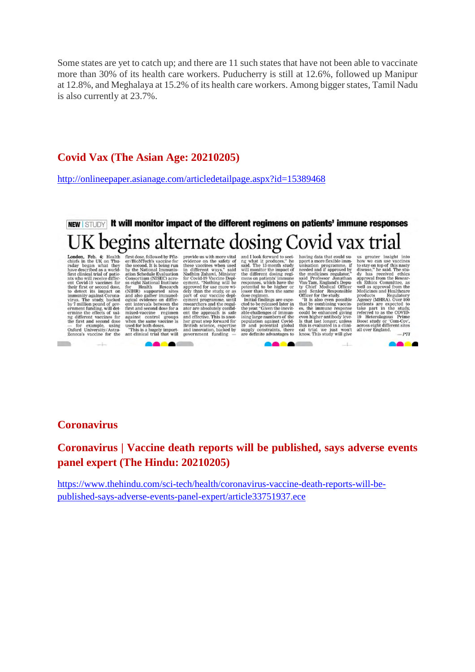Some states are yet to catch up; and there are 11 such states that have not been able to vaccinate more than 30% of its health care workers. Puducherry is still at 12.6%, followed up Manipur at 12.8%, and Meghalaya at 15.2% of its health care workers. Among bigger states, Tamil Nadu is also currently at 23.7%.

# **Covid Vax (The Asian Age: 20210205)**

http://onlineepaper.asianage.com/articledetailpage.aspx?id=15389468

# NEW I STUDY It will monitor impact of the different regimens on patients' immune responses K begins alternate dosing Covid vax trial

- for example, using<br>Oxford University/Astra-<br>Zeneca's vaccine for the

**CONTRACTOR** 

**London, Feb. 4:** Health first does, followed by Pfiz-<br>chiefs in the UK on Thu- er/BioNTech's vaccine for raday began what they the second. It is being run<br>have described as a world- by the National Immunis-<br>first clinica

"This is a hugely import-<br>ant clinical trial that will  $\blacksquare$ 

**Contract Contract** 

THE COMMON SURFACE and the widel provide us with more vital<br>evidence on the safety of<br>these vaccines when used<br>in different ways," said<br>Nadhim Zahawi, Minister<br>for Covid-10 koecine Depl-<br>opproved for use more with<br>dely tha

and I look forward to see<br>ing what it produces," he<br>said. The 13-month study<br>will monitor the impact of<br>the different dosing regi-

was monoto the inference of the different dosing regions<br>means on patterns immunes and responses, which have the potential to be higher or<br>properties immunes lower than from the same dose regiment.<br>Initial findings are exp

Naving data that could support a more flexible immunisation programme. If the medicines resultator, and Professor Journal Control of the medicine of the State of the State of the State of the State of the State of the Stat

 $-1$ 

**COMPANY** 

us greater insight into<br>how we can use vaccines<br>to stay on top of this nasty<br>disease," he said. The studisease," he said. The sti-<br>disease the said and speed of this a proval from the Research and Ethics Committee, as<br>well as approval from the Medicines and Healthcare products<br>products are producted by a product as  $\lambda$  pr 19 Heterologous Frime<br>Boost study or 'Com-Cov',<br>across eight different sites<br>all over England.  $PTI$ 

n

#### **Coronavirus**

**Coronavirus | Vaccine death reports will be published, says adverse events panel expert (The Hindu: 20210205)**

https://www.thehindu.com/sci-tech/health/coronavirus-vaccine-death-reports-will-bepublished-says-adverse-events-panel-expert/article33751937.ece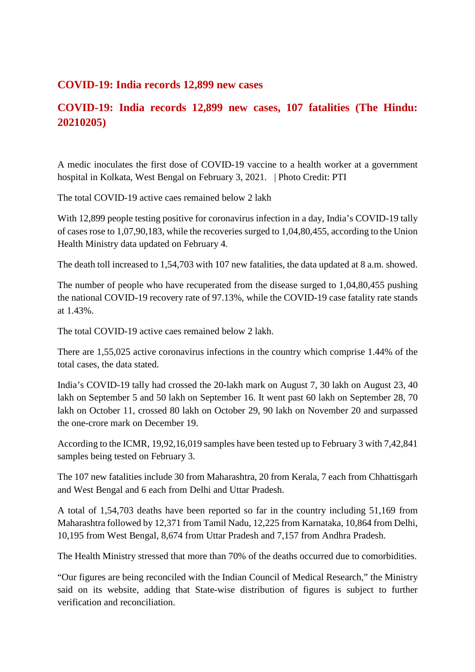## **COVID-19: India records 12,899 new cases**

# **COVID-19: India records 12,899 new cases, 107 fatalities (The Hindu: 20210205)**

A medic inoculates the first dose of COVID-19 vaccine to a health worker at a government hospital in Kolkata, West Bengal on February 3, 2021. | Photo Credit: PTI

The total COVID-19 active caes remained below 2 lakh

With 12,899 people testing positive for coronavirus infection in a day, India's COVID-19 tally of cases rose to 1,07,90,183, while the recoveries surged to 1,04,80,455, according to the Union Health Ministry data updated on February 4.

The death toll increased to 1,54,703 with 107 new fatalities, the data updated at 8 a.m. showed.

The number of people who have recuperated from the disease surged to 1,04,80,455 pushing the national COVID-19 recovery rate of 97.13%, while the COVID-19 case fatality rate stands at 1.43%.

The total COVID-19 active caes remained below 2 lakh.

There are 1,55,025 active coronavirus infections in the country which comprise 1.44% of the total cases, the data stated.

India's COVID-19 tally had crossed the 20-lakh mark on August 7, 30 lakh on August 23, 40 lakh on September 5 and 50 lakh on September 16. It went past 60 lakh on September 28, 70 lakh on October 11, crossed 80 lakh on October 29, 90 lakh on November 20 and surpassed the one-crore mark on December 19.

According to the ICMR, 19,92,16,019 samples have been tested up to February 3 with 7,42,841 samples being tested on February 3.

The 107 new fatalities include 30 from Maharashtra, 20 from Kerala, 7 each from Chhattisgarh and West Bengal and 6 each from Delhi and Uttar Pradesh.

A total of 1,54,703 deaths have been reported so far in the country including 51,169 from Maharashtra followed by 12,371 from Tamil Nadu, 12,225 from Karnataka, 10,864 from Delhi, 10,195 from West Bengal, 8,674 from Uttar Pradesh and 7,157 from Andhra Pradesh.

The Health Ministry stressed that more than 70% of the deaths occurred due to comorbidities.

"Our figures are being reconciled with the Indian Council of Medical Research," the Ministry said on its website, adding that State-wise distribution of figures is subject to further verification and reconciliation.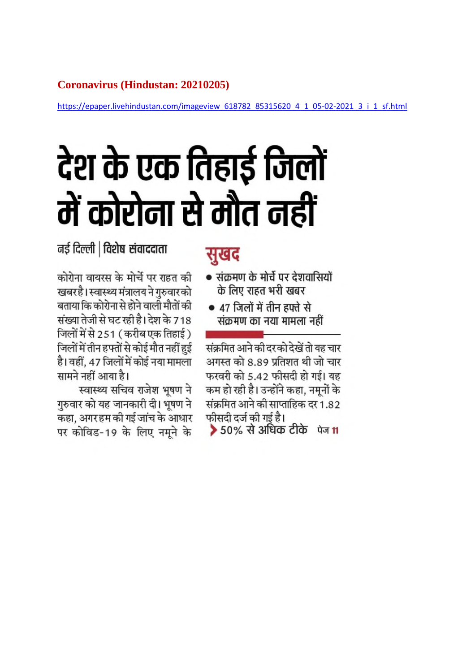# **Coronavirus (Hindustan: 20210205)**

https://epaper.livehindustan.com/imageview 618782 85315620 4 1 05-02-2021 3 i 1 sf.html

# देश के एक तिहाई जिलों में कोरोना से मौत नहीं

नई दिल्ली | विशेष संवाददाता

कोरोना वायरस के मोर्चे पर राहत की खबर है। स्वास्थ्य मंत्रालय ने गुरुवार को बताया कि कोरोना से होने वाली मौतों की संख्या तेजी से घट रही है। देश के 718 जिलों में से 251 (करीब एक तिहाई) जिलों में तीन हफ्तों से कोई मौत नहीं हुई है। वहीं, 47 जिलों में कोई नया मामला सामने नहीं आया है।

स्वास्थ्य सचिव राजेश भूषण ने गुरुवार को यह जानकारी दी। भूषण ने कहा, अगर हम की गई जांच के आधार पर कोविड-19 के लिए नमने के

# सुखद

- संक्रमण के मोर्चे पर देशवासियों के लिए राहत भरी खबर
- 47 जिलों में तीन हफ्ते से संक्रमण का नया मामला नहीं

संक्रमित आने की दरको देखें तो यह चार अगस्त को 8.89 प्रतिशत थी जो चार फरवरी को 5.42 फीसदी हो गई। यह कम हो रही है। उन्होंने कहा, नमनों के संक्रमित आने की साप्ताहिक दर 1.82 फीसदी दर्ज की गई है।

▶ 50% से अधिक टीके पेज 11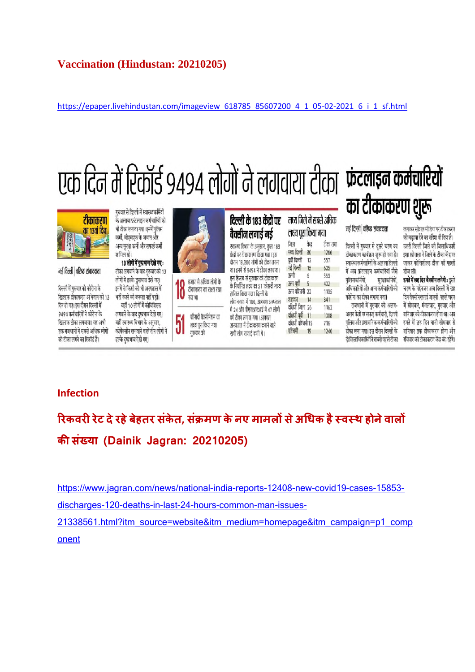# **Vaccination (Hindustan: 20210205)**

https://epaper.livehindustan.com/imageview\_618785\_85607200\_4\_1\_05-02-2021\_6\_i\_1\_sf.html



सभी लोग सफाई कर्मी थे।

दो जिलाधिकारियों ने सबसे पहले टीका - रविवार को टीकाकरण केंद्र बंद रहेंगे।

# **Infection**

को टीका लगने का रिकॉर्ड है।

हल्के दुष्प्रभाव देखे गए।

**रकवररेट देरहेबेहतर संकेत, सं मण केनए मामलसेअधक हैवथ होनेवाल कसं या (Dainik Jagran: 20210205)**

https://www.jagran.com/news/national-india-reports-12408-new-covid19-cases-15853-

discharges-120-deaths-in-last-24-hours-common-man-issues-

गरुवार को

21338561.html?itm\_source=website&itm\_medium=homepage&itm\_campaign=p1\_comp onent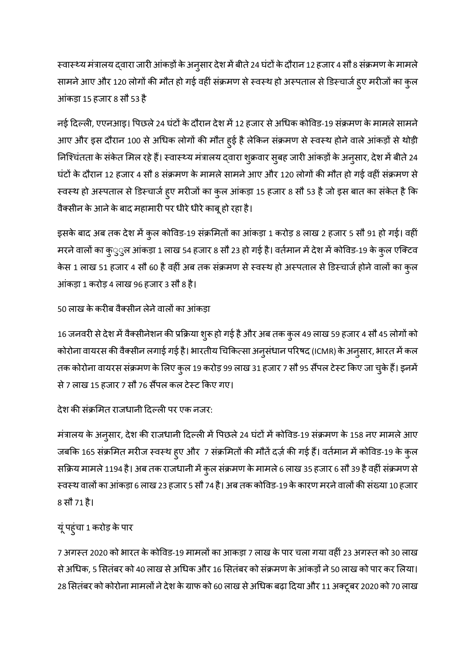स्वास्थ्य मंत्रालय द्वारा जारी आंकड़ों के अनुसार देश में बीते 24 घंटों के दौरान 12 हजार 4 सौ 8 संक्रमण के मामले सामने आए और 120 लोगों की मौत हो गई वहीं संक्रमण से स्वस्थ हो अस्पताल से डिस्चार्ज हुए मरीजों का कुल आंकड़ा 15 हजार 8 सौ 53 है

नई दिल्ली, एएनआइ। पिछले 24 घंटों के दौरान देश में 12 हजार से अधिक कोविड-19 संक्रमण के मामले सामने आए और इस दौरान 100 से अधिक लोगों की मौत हुई है लेकिन संक्रमण से स्वस्थ होने वाले आंकड़ों से थोड़ी निश्चिंतता के संकेत मिल रहे हैं। स्वास्थ्य मंत्रालय द्वारा शुक्रवार सुबह जारी आंकड़ों के अनुसार, देश में बीते 24 घंटों के दौरान 12 हजार 4 सौ 8 संक्रमण के मामले सामने आए और 120 लोगों की मौत हो गई वहीं संक्रमण से स्वस्थ हो अस्पताल से डिस्चार्ज हुए मरीजों का कुल आंकड़ा 15 हजार 8 सौ 53 है जो इस बात का संकेत है कि वैक्सीन के आने के बाद महामारी पर धीरे धीरे काबू हो रहा है।

इसके बाद अब तक देश में कुल कोविड-19 संक्रमितों का आंकड़ा 1 करोड़ 8 लाख 2 हजार 5 सौ 91 हो गई। वहीं मरने वालों का कुुुल आंकड़ा 1 लाख 54 हजार 8 सौ 23 हो गई है। वर्तमान में देश में कोविड-19 के कुल एक्टिव केस 1 लाख 51 हजार 4 सौ 60 है वहीं अब तक संक्रमण से स्वस्थ हो अस्पताल से डिस्चार्ज होने वालों का कुल आंकड़ा 1 करोड़ 4 लाख 96 हजार 3 सौ 8 है।

## 50 लाख के करीब वैक्सीन लेने वालों का आंकड़ा

16 जनवरी से देश में वैक्सीनेशन की प्रक्रिया शुरू हो गई है और अब तक कुल 49 लाख 59 हजार 4 सौ 45 लोगों को कोरोना वायरस की वैक्सीन लगाई गई है। भारतीय चिकित्सा अनुसंधान परिषद (ICMR) के अनुसार, भारत में कल तक कोरोना वायरस संक्रमण के लिए कुल 19 करोड़ 99 लाख 31 हजार 7 सौ 95 सैंपल टेस्ट किए जा चुके हैं। इनमें से 7 लाख 15 हजार 7 सौ 76 सैंपल कल टेस्ट किए गए।

देश की संक्रमित राजधानी दिल्ली पर एक नजर:

मंत्रालय के अनुसार, देश की राजधानी दिल्ली में पिछले 24 घंटों में कोविड-19 संक्रमण के 158 नए मामले आए जबकि 165 संक्रमित मरीज स्वस्थ हुए और 7 संक्रमितों की मौतें दर्ज़ की गई हैं। वर्तमान में कोविड-19 के कुल सक्रिय मामले 1194 है। अब तक राजधानी में कुल संक्रमण के मामले 6 लाख 35 हजार 6 सौ 39 है वहीं संक्रमण से स्वस्थ वालों का आंकड़ा 6 लाख 23 हजार 5 सौ 74 है। अब तक कोविड-19 के कारण मरने वालों की संख्या 10 हजार 8 सौ 71 है।

## यूंपहुंचा 1 करोड़ केपार

7 अगस्त 2020 को भारत के कोविड-19 मामलों का आकड़ा 7 लाख के पार चला गया वहीं 23 अगस्त को 30 लाख से अधिक, 5 सितंबर को 40 लाख से अधिक और 16 सितंबर को संक्रमण के आंकड़ों ने 50 लाख को पार कर लिया। 28 सितंबर को कोरोना मामलों ने देश के ग्राफ को 60 लाख से अधिक बढ़ा दिया और 11 अक्टूबर 2020 को 70 लाख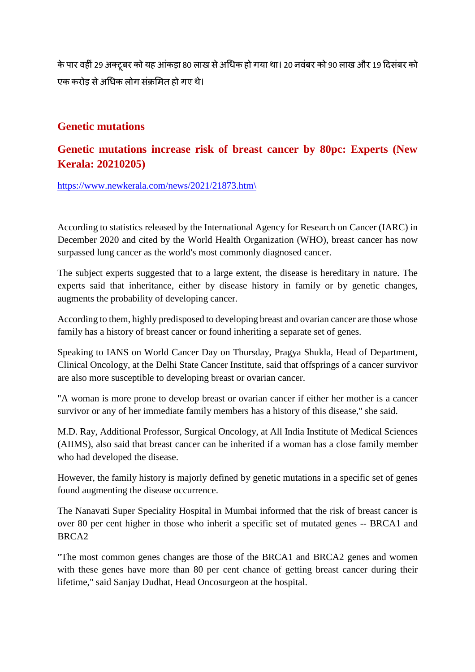के पार वहीं 29 अक्टूबर को यह आंकड़ा 80 लाख से अधिक हो गया था। 20 नवंबर को 90 लाख और 19 दिसंबर को एक करोड़ से अधिक लोग संक्रमित हो गए थे।

# **Genetic mutations**

# **Genetic mutations increase risk of breast cancer by 80pc: Experts (New Kerala: 20210205)**

https://www.newkerala.com/news/2021/21873.htm\

According to statistics released by the International Agency for Research on Cancer (IARC) in December 2020 and cited by the World Health Organization (WHO), breast cancer has now surpassed lung cancer as the world's most commonly diagnosed cancer.

The subject experts suggested that to a large extent, the disease is hereditary in nature. The experts said that inheritance, either by disease history in family or by genetic changes, augments the probability of developing cancer.

According to them, highly predisposed to developing breast and ovarian cancer are those whose family has a history of breast cancer or found inheriting a separate set of genes.

Speaking to IANS on World Cancer Day on Thursday, Pragya Shukla, Head of Department, Clinical Oncology, at the Delhi State Cancer Institute, said that offsprings of a cancer survivor are also more susceptible to developing breast or ovarian cancer.

"A woman is more prone to develop breast or ovarian cancer if either her mother is a cancer survivor or any of her immediate family members has a history of this disease," she said.

M.D. Ray, Additional Professor, Surgical Oncology, at All India Institute of Medical Sciences (AIIMS), also said that breast cancer can be inherited if a woman has a close family member who had developed the disease.

However, the family history is majorly defined by genetic mutations in a specific set of genes found augmenting the disease occurrence.

The Nanavati Super Speciality Hospital in Mumbai informed that the risk of breast cancer is over 80 per cent higher in those who inherit a specific set of mutated genes -- BRCA1 and BRCA2

"The most common genes changes are those of the BRCA1 and BRCA2 genes and women with these genes have more than 80 per cent chance of getting breast cancer during their lifetime," said Sanjay Dudhat, Head Oncosurgeon at the hospital.